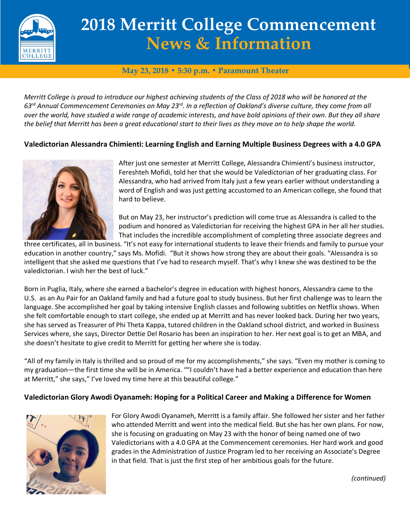

# **2018 Merritt College Commencement News & Information**

## **May 23, 2018 • 5:30 p.m. • Paramount Theater**

*Merritt College is proud to introduce our highest achieving students of the Class of 2018 who will be honored at the 63rd Annual Commencement Ceremonies on May 23rd. In a reflection of Oakland's diverse culture, they come from all over the world, have studied a wide range of academic interests, and have bold opinions of their own. But they all share the belief that Merritt has been a great educational start to their lives as they move on to help shape the world.* 

## **Valedictorian Alessandra Chimienti: Learning English and Earning Multiple Business Degrees with a 4.0 GPA**



After just one semester at Merritt College, Alessandra Chimienti's business instructor, Fereshteh Mofidi, told her that she would be Valedictorian of her graduating class. For Alessandra, who had arrived from Italy just a few years earlier without understanding a word of English and was just getting accustomed to an American college, she found that hard to believe.

But on May 23, her instructor's prediction will come true as Alessandra is called to the podium and honored as Valedictorian for receiving the highest GPA in her all her studies. That includes the incredible accomplishment of completing three associate degrees and

three certificates, all in business. "It's not easy for international students to leave their friends and family to pursue your education in another country," says Ms. Mofidi. "But it shows how strong they are about their goals. "Alessandra is so intelligent that she asked me questions that I've had to research myself. That's why I knew she was destined to be the valedictorian. I wish her the best of luck."

Born in Puglia, Italy, where she earned a bachelor's degree in education with highest honors, Alessandra came to the U.S. as an Au Pair for an Oakland family and had a future goal to study business. But her first challenge was to learn the language. She accomplished her goal by taking intensive English classes and following subtitles on Netflix shows. When she felt comfortable enough to start college, she ended up at Merritt and has never looked back. During her two years, she has served as Treasurer of Phi Theta Kappa, tutored children in the Oakland school district, and worked in Business Services where, she says, Director Dettie Del Rosario has been an inspiration to her. Her next goal is to get an MBA, and she doesn't hesitate to give credit to Merritt for getting her where she is today.

"All of my family in Italy is thrilled and so proud of me for my accomplishments," she says. "Even my mother is coming to my graduation—the first time she will be in America. ""I couldn't have had a better experience and education than here at Merritt," she says," I've loved my time here at this beautiful college."

#### **Valedictorian Glory Awodi Oyanameh: Hoping for a Political Career and Making a Difference for Women**



For Glory Awodi Oyanameh, Merritt is a family affair. She followed her sister and her father who attended Merritt and went into the medical field. But she has her own plans. For now, she is focusing on graduating on May 23 with the honor of being named one of two Valedictorians with a 4.0 GPA at the Commencement ceremonies. Her hard work and good grades in the Administration of Justice Program led to her receiving an Associate's Degree in that field. That is just the first step of her ambitious goals for the future.

*(continued)*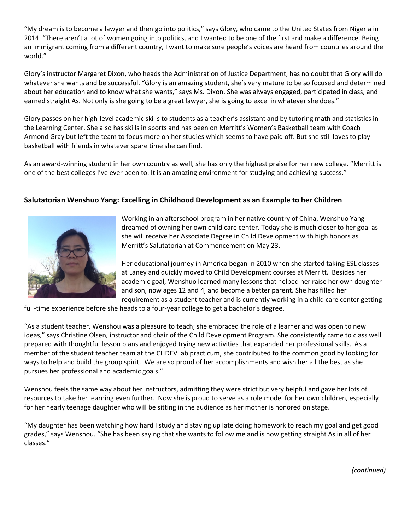"My dream is to become a lawyer and then go into politics," says Glory, who came to the United States from Nigeria in 2014. "There aren't a lot of women going into politics, and I wanted to be one of the first and make a difference. Being an immigrant coming from a different country, I want to make sure people's voices are heard from countries around the world."

Glory's instructor Margaret Dixon, who heads the Administration of Justice Department, has no doubt that Glory will do whatever she wants and be successful. "Glory is an amazing student, she's very mature to be so focused and determined about her education and to know what she wants," says Ms. Dixon. She was always engaged, participated in class, and earned straight As. Not only is she going to be a great lawyer, she is going to excel in whatever she does."

Glory passes on her high-level academic skills to students as a teacher's assistant and by tutoring math and statistics in the Learning Center. She also has skills in sports and has been on Merritt's Women's Basketball team with Coach Armond Gray but left the team to focus more on her studies which seems to have paid off. But she still loves to play basketball with friends in whatever spare time she can find.

As an award-winning student in her own country as well, she has only the highest praise for her new college. "Merritt is one of the best colleges I've ever been to. It is an amazing environment for studying and achieving success."

### **Salutatorian Wenshuo Yang: Excelling in Childhood Development as an Example to her Children**



Working in an afterschool program in her native country of China, Wenshuo Yang dreamed of owning her own child care center. Today she is much closer to her goal as she will receive her Associate Degree in Child Development with high honors as Merritt's Salutatorian at Commencement on May 23.

Her educational journey in America began in 2010 when she started taking ESL classes at Laney and quickly moved to Child Development courses at Merritt. Besides her academic goal, Wenshuo learned many lessons that helped her raise her own daughter and son, now ages 12 and 4, and become a better parent. She has filled her requirement as a student teacher and is currently working in a child care center getting

full-time experience before she heads to a four-year college to get a bachelor's degree.

"As a student teacher, Wenshou was a pleasure to teach; she embraced the role of a learner and was open to new ideas," says Christine Olsen, instructor and chair of the Child Development Program. She consistently came to class well prepared with thoughtful lesson plans and enjoyed trying new activities that expanded her professional skills. As a member of the student teacher team at the CHDEV lab practicum, she contributed to the common good by looking for ways to help and build the group spirit. We are so proud of her accomplishments and wish her all the best as she pursues her professional and academic goals."

Wenshou feels the same way about her instructors, admitting they were strict but very helpful and gave her lots of resources to take her learning even further. Now she is proud to serve as a role model for her own children, especially for her nearly teenage daughter who will be sitting in the audience as her mother is honored on stage.

"My daughter has been watching how hard I study and staying up late doing homework to reach my goal and get good grades," says Wenshou. "She has been saying that she wants to follow me and is now getting straight As in all of her classes."

*(continued)*